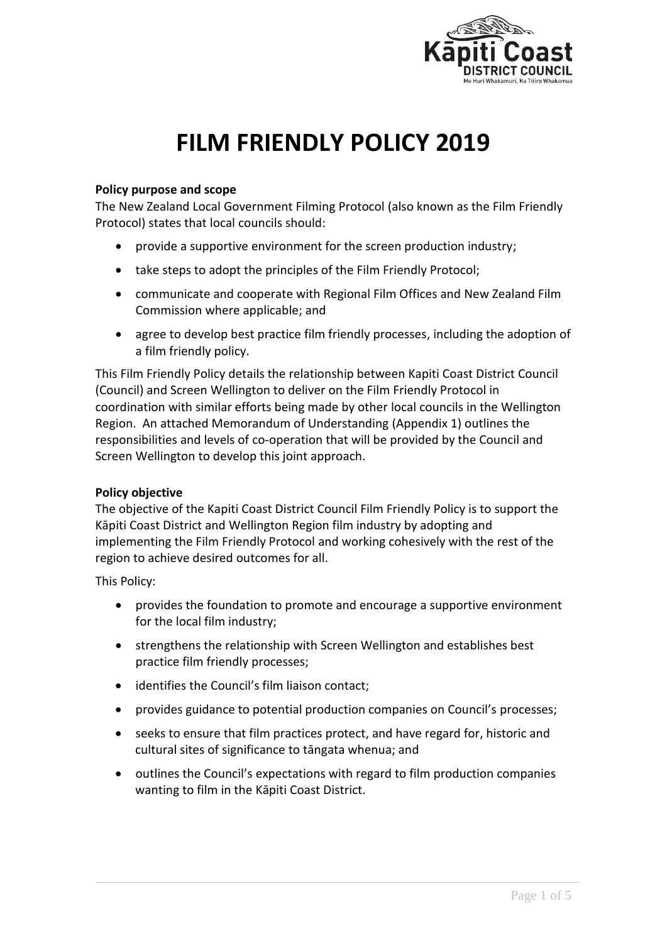

# **FILM FRIENDLY POLICY 2019**

## **Policy purpose and scope**

The New Zealand Local Government Filming Protocol (also known as the Film Friendly Protocol) states that local councils should:

- provide a supportive environment for the screen production industry;
- take steps to adopt the principles of the Film Friendly Protocol;
- communicate and cooperate with Regional Film Offices and New Zealand Film Commission where applicable; and
- agree to develop best practice film friendly processes, including the adoption of a film friendly policy.

This Film Friendly Policy details the relationship between Kapiti Coast District Council (Council) and Screen Wellington to deliver on the Film Friendly Protocol in coordination with similar efforts being made by other local councils in the Wellington Region. An attached Memorandum of Understanding (Appendix 1) outlines the responsibilities and levels of co-operation that will be provided by the Council and Screen Wellington to develop this joint approach.

## **Policy objective**

The objective of the Kapiti Coast District Council Film Friendly Policy is to support the Kāpiti Coast District and Wellington Region film industry by adopting and implementing the Film Friendly Protocol and working cohesively with the rest of the region to achieve desired outcomes for all.

This Policy:

- provides the foundation to promote and encourage a supportive environment for the local film industry;
- strengthens the relationship with Screen Wellington and establishes best practice film friendly processes;
- identifies the Council's film liaison contact;
- provides guidance to potential production companies on Council's processes;
- seeks to ensure that film practices protect, and have regard for, historic and cultural sites of significance to tāngata whenua; and
- outlines the Council's expectations with regard to film production companies wanting to film in the Kāpiti Coast District.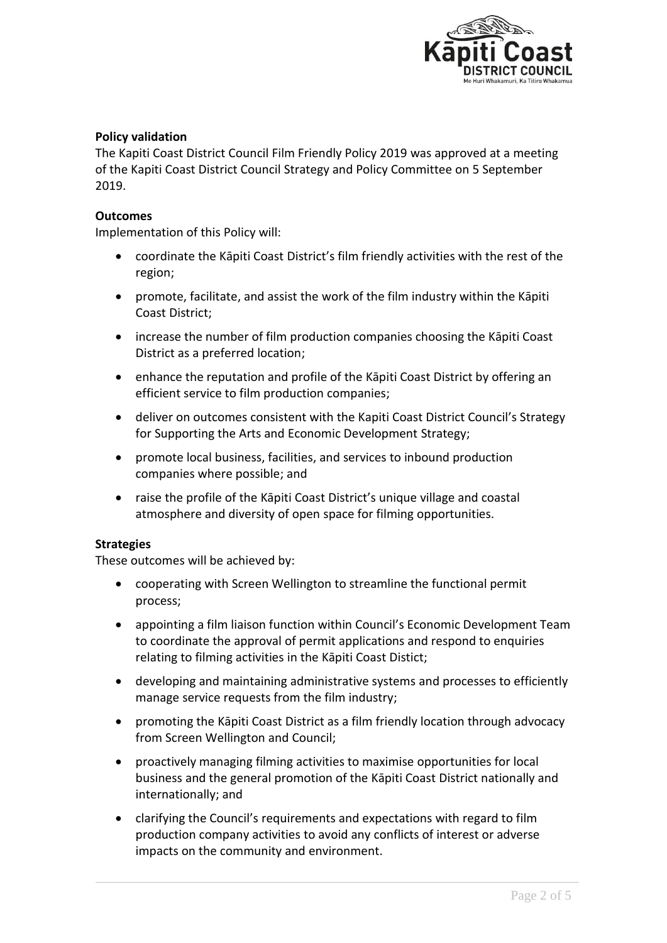

## **Policy validation**

The Kapiti Coast District Council Film Friendly Policy 2019 was approved at a meeting of the Kapiti Coast District Council Strategy and Policy Committee on 5 September 2019.

### **Outcomes**

Implementation of this Policy will:

- coordinate the Kāpiti Coast District's film friendly activities with the rest of the region;
- promote, facilitate, and assist the work of the film industry within the Kāpiti Coast District;
- increase the number of film production companies choosing the Kāpiti Coast District as a preferred location;
- enhance the reputation and profile of the Kāpiti Coast District by offering an efficient service to film production companies;
- deliver on outcomes consistent with the Kapiti Coast District Council's Strategy for Supporting the Arts and Economic Development Strategy;
- promote local business, facilities, and services to inbound production companies where possible; and
- raise the profile of the Kāpiti Coast District's unique village and coastal atmosphere and diversity of open space for filming opportunities.

#### **Strategies**

These outcomes will be achieved by:

- cooperating with Screen Wellington to streamline the functional permit process;
- appointing a film liaison function within Council's Economic Development Team to coordinate the approval of permit applications and respond to enquiries relating to filming activities in the Kāpiti Coast Distict;
- developing and maintaining administrative systems and processes to efficiently manage service requests from the film industry;
- promoting the Kāpiti Coast District as a film friendly location through advocacy from Screen Wellington and Council;
- proactively managing filming activities to maximise opportunities for local business and the general promotion of the Kāpiti Coast District nationally and internationally; and
- clarifying the Council's requirements and expectations with regard to film production company activities to avoid any conflicts of interest or adverse impacts on the community and environment.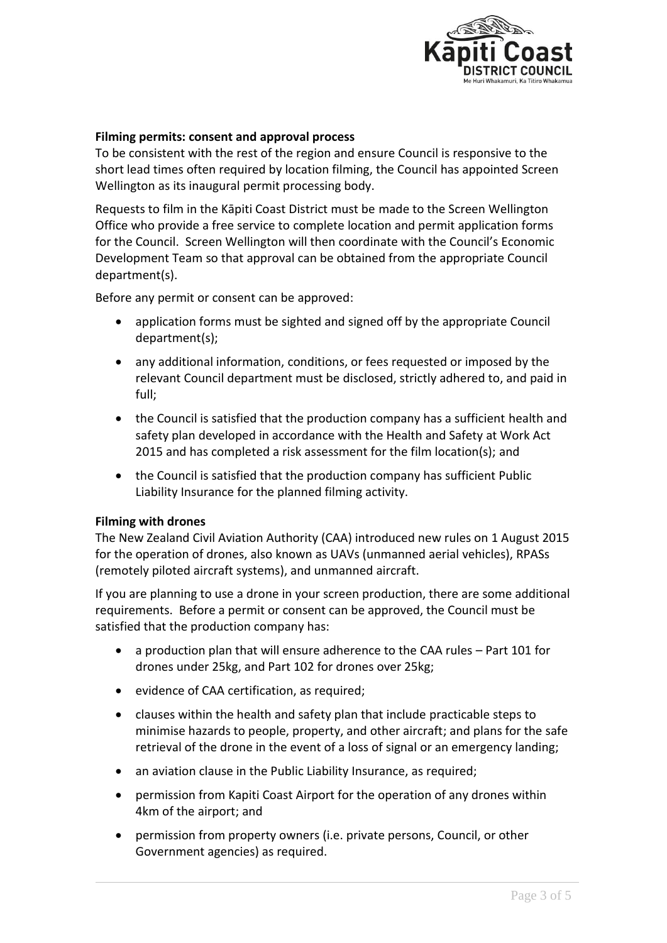

## **Filming permits: consent and approval process**

To be consistent with the rest of the region and ensure Council is responsive to the short lead times often required by location filming, the Council has appointed Screen Wellington as its inaugural permit processing body.

Requests to film in the Kāpiti Coast District must be made to the Screen Wellington Office who provide a free service to complete location and permit application forms for the Council. Screen Wellington will then coordinate with the Council's Economic Development Team so that approval can be obtained from the appropriate Council department(s).

Before any permit or consent can be approved:

- application forms must be sighted and signed off by the appropriate Council department(s);
- any additional information, conditions, or fees requested or imposed by the relevant Council department must be disclosed, strictly adhered to, and paid in full;
- the Council is satisfied that the production company has a sufficient health and safety plan developed in accordance with the Health and Safety at Work Act 2015 and has completed a risk assessment for the film location(s); and
- the Council is satisfied that the production company has sufficient Public Liability Insurance for the planned filming activity.

### **Filming with drones**

The New Zealand Civil Aviation Authority (CAA) introduced new rules on 1 August 2015 for the operation of drones, also known as UAVs (unmanned aerial vehicles), RPASs (remotely piloted aircraft systems), and unmanned aircraft.

If you are planning to use a drone in your screen production, there are some additional requirements. Before a permit or consent can be approved, the Council must be satisfied that the production company has:

- a production plan that will ensure adherence to the CAA rules Part 101 for drones under 25kg, and Part 102 for drones over 25kg;
- evidence of CAA certification, as required;
- clauses within the health and safety plan that include practicable steps to minimise hazards to people, property, and other aircraft; and plans for the safe retrieval of the drone in the event of a loss of signal or an emergency landing;
- an aviation clause in the Public Liability Insurance, as required;
- permission from Kapiti Coast Airport for the operation of any drones within 4km of the airport; and
- permission from property owners (i.e. private persons, Council, or other Government agencies) as required.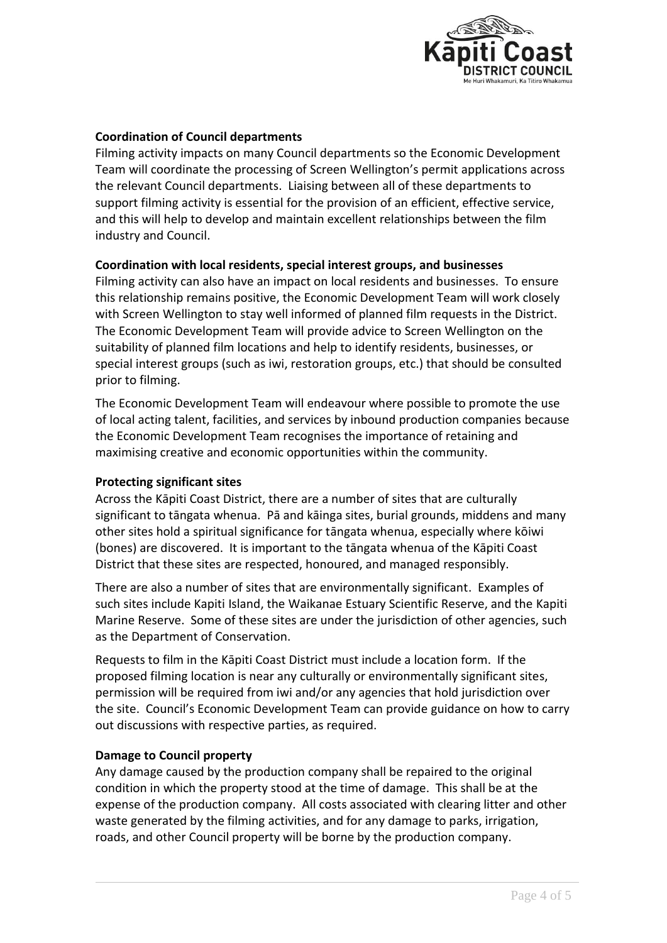

## **Coordination of Council departments**

Filming activity impacts on many Council departments so the Economic Development Team will coordinate the processing of Screen Wellington's permit applications across the relevant Council departments. Liaising between all of these departments to support filming activity is essential for the provision of an efficient, effective service, and this will help to develop and maintain excellent relationships between the film industry and Council.

### **Coordination with local residents, special interest groups, and businesses**

Filming activity can also have an impact on local residents and businesses. To ensure this relationship remains positive, the Economic Development Team will work closely with Screen Wellington to stay well informed of planned film requests in the District. The Economic Development Team will provide advice to Screen Wellington on the suitability of planned film locations and help to identify residents, businesses, or special interest groups (such as iwi, restoration groups, etc.) that should be consulted prior to filming.

The Economic Development Team will endeavour where possible to promote the use of local acting talent, facilities, and services by inbound production companies because the Economic Development Team recognises the importance of retaining and maximising creative and economic opportunities within the community.

### **Protecting significant sites**

Across the Kāpiti Coast District, there are a number of sites that are culturally significant to tāngata whenua. Pā and kāinga sites, burial grounds, middens and many other sites hold a spiritual significance for tāngata whenua, especially where kōiwi (bones) are discovered. It is important to the tāngata whenua of the Kāpiti Coast District that these sites are respected, honoured, and managed responsibly.

There are also a number of sites that are environmentally significant. Examples of such sites include Kapiti Island, the Waikanae Estuary Scientific Reserve, and the Kapiti Marine Reserve. Some of these sites are under the jurisdiction of other agencies, such as the Department of Conservation.

Requests to film in the Kāpiti Coast District must include a location form. If the proposed filming location is near any culturally or environmentally significant sites, permission will be required from iwi and/or any agencies that hold jurisdiction over the site. Council's Economic Development Team can provide guidance on how to carry out discussions with respective parties, as required.

### **Damage to Council property**

Any damage caused by the production company shall be repaired to the original condition in which the property stood at the time of damage. This shall be at the expense of the production company. All costs associated with clearing litter and other waste generated by the filming activities, and for any damage to parks, irrigation, roads, and other Council property will be borne by the production company.